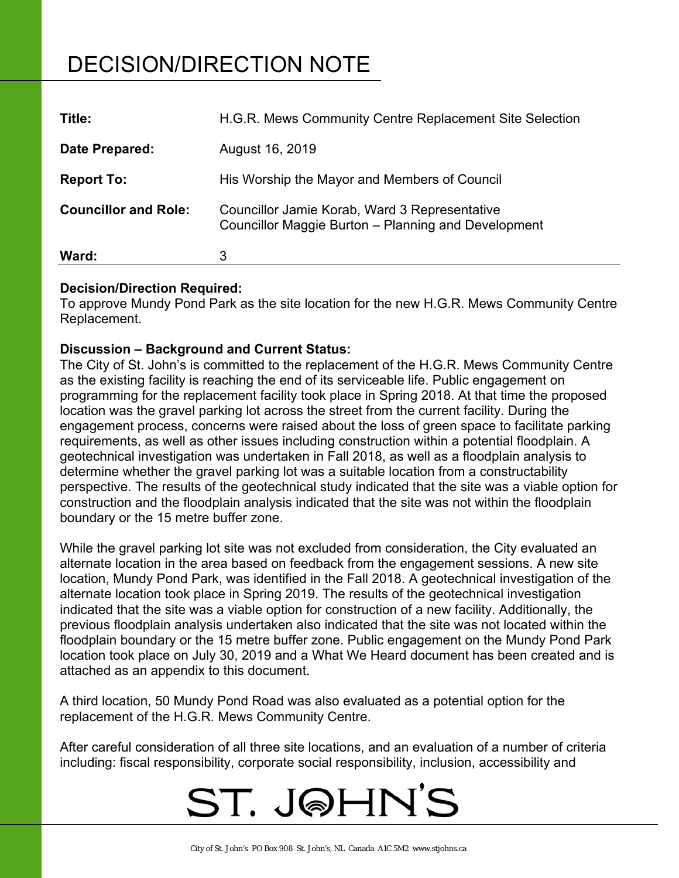# DECISION/DIRECTION NOTE

| Title:                      | H.G.R. Mews Community Centre Replacement Site Selection                                              |
|-----------------------------|------------------------------------------------------------------------------------------------------|
| Date Prepared:              | August 16, 2019                                                                                      |
| <b>Report To:</b>           | His Worship the Mayor and Members of Council                                                         |
| <b>Councillor and Role:</b> | Councillor Jamie Korab, Ward 3 Representative<br>Councillor Maggie Burton - Planning and Development |
| Ward:                       | 3                                                                                                    |

## **Decision/Direction Required:**

To approve Mundy Pond Park as the site location for the new H.G.R. Mews Community Centre Replacement.

## **Discussion – Background and Current Status:**

The City of St. John's is committed to the replacement of the H.G.R. Mews Community Centre as the existing facility is reaching the end of its serviceable life. Public engagement on programming for the replacement facility took place in Spring 2018. At that time the proposed location was the gravel parking lot across the street from the current facility. During the engagement process, concerns were raised about the loss of green space to facilitate parking requirements, as well as other issues including construction within a potential floodplain. A geotechnical investigation was undertaken in Fall 2018, as well as a floodplain analysis to determine whether the gravel parking lot was a suitable location from a constructability perspective. The results of the geotechnical study indicated that the site was a viable option for construction and the floodplain analysis indicated that the site was not within the floodplain boundary or the 15 metre buffer zone.

While the gravel parking lot site was not excluded from consideration, the City evaluated an alternate location in the area based on feedback from the engagement sessions. A new site location, Mundy Pond Park, was identified in the Fall 2018. A geotechnical investigation of the alternate location took place in Spring 2019. The results of the geotechnical investigation indicated that the site was a viable option for construction of a new facility. Additionally, the previous floodplain analysis undertaken also indicated that the site was not located within the floodplain boundary or the 15 metre buffer zone. Public engagement on the Mundy Pond Park location took place on July 30, 2019 and a What We Heard document has been created and is attached as an appendix to this document.

A third location, 50 Mundy Pond Road was also evaluated as a potential option for the replacement of the H.G.R. Mews Community Centre.

After careful consideration of all three site locations, and an evaluation of a number of criteria including: fiscal responsibility, corporate social responsibility, inclusion, accessibility and

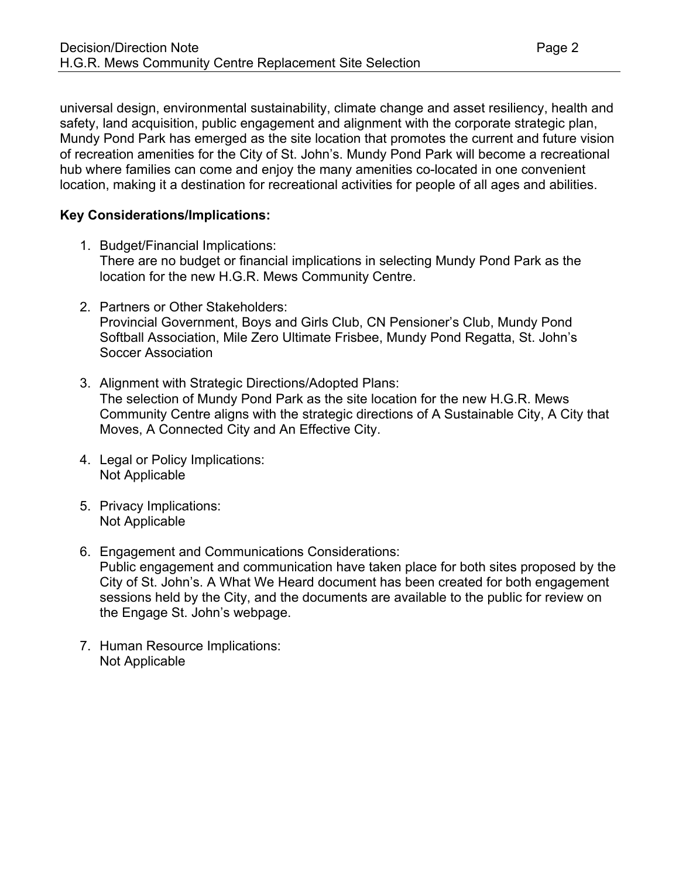universal design, environmental sustainability, climate change and asset resiliency, health and safety, land acquisition, public engagement and alignment with the corporate strategic plan, Mundy Pond Park has emerged as the site location that promotes the current and future vision of recreation amenities for the City of St. John's. Mundy Pond Park will become a recreational hub where families can come and enjoy the many amenities co-located in one convenient location, making it a destination for recreational activities for people of all ages and abilities.

# **Key Considerations/Implications:**

- 1. Budget/Financial Implications: There are no budget or financial implications in selecting Mundy Pond Park as the location for the new H.G.R. Mews Community Centre.
- 2. Partners or Other Stakeholders: Provincial Government, Boys and Girls Club, CN Pensioner's Club, Mundy Pond Softball Association, Mile Zero Ultimate Frisbee, Mundy Pond Regatta, St. John's Soccer Association
- 3. Alignment with Strategic Directions/Adopted Plans: The selection of Mundy Pond Park as the site location for the new H.G.R. Mews Community Centre aligns with the strategic directions of A Sustainable City, A City that Moves, A Connected City and An Effective City.
- 4. Legal or Policy Implications: Not Applicable
- 5. Privacy Implications: Not Applicable
- 6. Engagement and Communications Considerations: Public engagement and communication have taken place for both sites proposed by the City of St. John's. A What We Heard document has been created for both engagement sessions held by the City, and the documents are available to the public for review on the Engage St. John's webpage.
- 7. Human Resource Implications: Not Applicable